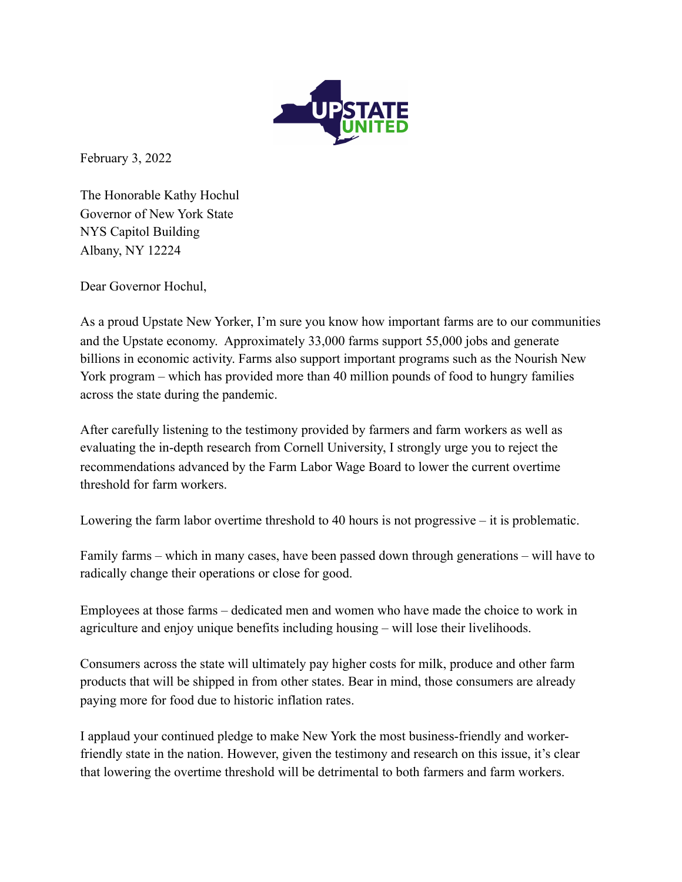

February 3, 2022

The Honorable Kathy Hochul Governor of New York State NYS Capitol Building Albany, NY 12224

Dear Governor Hochul,

As a proud Upstate New Yorker, I'm sure you know how important farms are to our communities and the Upstate economy. Approximately 33,000 farms support 55,000 jobs and generate billions in economic activity. Farms also support important programs such as the Nourish New York program – which has provided more than 40 million pounds of food to hungry families across the state during the pandemic.

After carefully listening to the testimony provided by farmers and farm workers as well as evaluating the in-depth research from Cornell University, I strongly urge you to reject the recommendations advanced by the Farm Labor Wage Board to lower the current overtime threshold for farm workers.

Lowering the farm labor overtime threshold to 40 hours is not progressive – it is problematic.

Family farms – which in many cases, have been passed down through generations – will have to radically change their operations or close for good.

Employees at those farms – dedicated men and women who have made the choice to work in agriculture and enjoy unique benefits including housing – will lose their livelihoods.

Consumers across the state will ultimately pay higher costs for milk, produce and other farm products that will be shipped in from other states. Bear in mind, those consumers are already paying more for food due to historic inflation rates.

I applaud your continued pledge to make New York the most business-friendly and workerfriendly state in the nation. However, given the testimony and research on this issue, it's clear that lowering the overtime threshold will be detrimental to both farmers and farm workers.